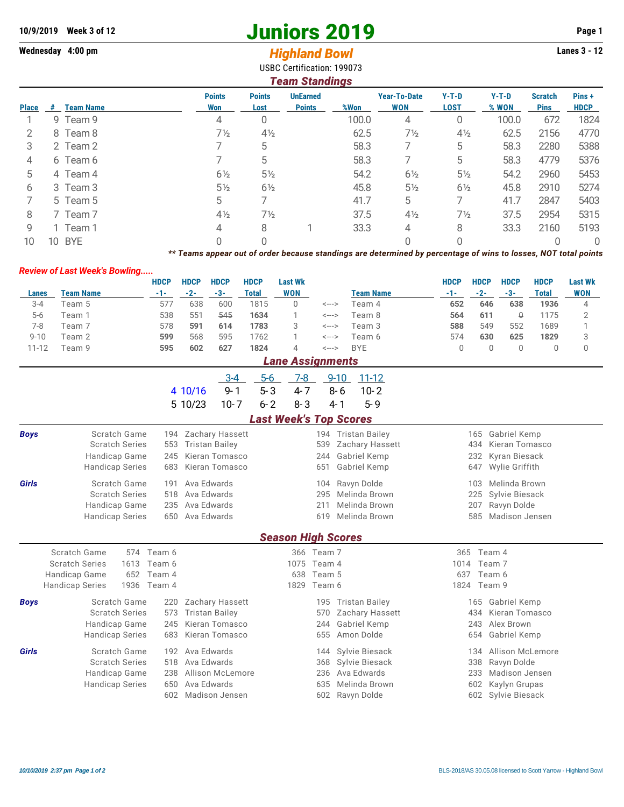## **10/9/2019** Week 3 of 12<br> **10/9/2019** Page 1<br> **14/9/2019** Page 1<br> **14/9/2019** Page 1<br> **14/9/2019** Page 1<br> **14/9/2019** Page 1<br> **14/9/2019** Page 1<br> **14/9/80 Page 1**

## **Wednesday 4:00 pm Highland Bowl**

| <b>USBC Certification: 199073</b><br><b>Team Standings</b> |    |                  |                                                                                                                 |                                      |                                  |       |                            |                        |                  |                               |                      |  |  |  |  |
|------------------------------------------------------------|----|------------------|-----------------------------------------------------------------------------------------------------------------|--------------------------------------|----------------------------------|-------|----------------------------|------------------------|------------------|-------------------------------|----------------------|--|--|--|--|
| <b>Place</b>                                               | #  | <b>Team Name</b> | <b>Points</b><br>Won                                                                                            | <b>Points</b><br>Lost                | <b>UnEarned</b><br><b>Points</b> | %Won  | Year-To-Date<br><b>WON</b> | $Y-T-D$<br><b>LOST</b> | $Y-T-D$<br>% WON | <b>Scratch</b><br><b>Pins</b> | Pins+<br><b>HDCP</b> |  |  |  |  |
|                                                            |    | 9 Team 9         | 4                                                                                                               |                                      |                                  | 100.0 | 4                          | 0                      | 100.0            | 672                           | 1824                 |  |  |  |  |
| 2                                                          |    | 8 Team 8         | $7\frac{1}{2}$                                                                                                  | $4\frac{1}{2}$                       |                                  | 62.5  | $7\frac{1}{2}$             | $4\frac{1}{2}$         | 62.5             | 2156                          | 4770                 |  |  |  |  |
| 3                                                          |    | 2 Team 2         |                                                                                                                 | 5                                    |                                  | 58.3  |                            | 5                      | 58.3             | 2280                          | 5388                 |  |  |  |  |
| 4                                                          |    | 6 Team 6         |                                                                                                                 | 5                                    |                                  | 58.3  |                            | 5                      | 58.3             | 4779                          | 5376                 |  |  |  |  |
| 5                                                          |    | 4 Team 4         | $6\frac{1}{2}$                                                                                                  | $5\frac{1}{2}$                       |                                  | 54.2  | $6\frac{1}{2}$             | $5\frac{1}{2}$         | 54.2             | 2960                          | 5453                 |  |  |  |  |
| 6                                                          |    | 3 Team 3         | $5\frac{1}{2}$                                                                                                  | $6\frac{1}{2}$                       |                                  | 45.8  | $5\frac{1}{2}$             | $6\frac{1}{2}$         | 45.8             | 2910                          | 5274                 |  |  |  |  |
| 7                                                          |    | 5 Team 5         | 5                                                                                                               |                                      |                                  | 41.7  | 5                          | 7                      | 41.7             | 2847                          | 5403                 |  |  |  |  |
| 8                                                          |    | 7 Team 7         | $4\frac{1}{2}$                                                                                                  | $7\frac{1}{2}$                       |                                  | 37.5  | $4\frac{1}{2}$             | $7\frac{1}{2}$         | 37.5             | 2954                          | 5315                 |  |  |  |  |
| 9                                                          |    | 1 Team 1         | 4                                                                                                               | 8                                    |                                  | 33.3  | 4                          | 8                      | 33.3             | 2160                          | 5193                 |  |  |  |  |
| 10                                                         | 10 | <b>BYE</b>       | 0                                                                                                               |                                      |                                  |       | $\Omega$                   |                        |                  | 0                             |                      |  |  |  |  |
|                                                            |    |                  | ** Teams appear out of order because standings are determined by percentage of wins to losses, NOT total points |                                      |                                  |       |                            |                        |                  |                               |                      |  |  |  |  |
|                                                            |    |                  |                                                                                                                 | <b>Review of Last Week's Bowling</b> |                                  |       |                            |                        |                  |                               |                      |  |  |  |  |

|          |                         | HDCP  | <b>HDCP</b> | HDCP | <b>HDCP</b> | Last Wk    |       |                  | <b>HDCP</b> | <b>HDCP</b> | HDCP | <b>HDCP</b> | Last Wk    |
|----------|-------------------------|-------|-------------|------|-------------|------------|-------|------------------|-------------|-------------|------|-------------|------------|
| Lanes    | <b>Team Name</b>        | $-1-$ | $-2-$       | -3-  | Total       | <b>WON</b> |       | <b>Team Name</b> | -1-         | $-2-$       | -3-  | Total       | <b>WON</b> |
| $3 - 4$  | Team 5                  | 577   | 638         | 600  | 1815        |            | <---> | Team 4           | 652         | 646         | 638  | 1936        | 4          |
| $5-6$    | Team 1                  | 538   | 551         | 545  | 1634        |            | <---> | Team 8           | 564         | 611         | θ    | 1175        |            |
| 7-8      | Team 7                  | 578   | 591         | 614  | 1783        |            | <---> | Team 3           | 588         | 549         | 552  | 1689        |            |
| $9 - 10$ | Team 2                  | 599   | 568         | 595  | 1762        |            | <---> | Team 6           | 574         | 630         | 625  | 1829        | J          |
| 11-12    | Team 9                  | 595   | 602         | 627  | 1824        | 4          | <---> | <b>BYE</b>       |             |             |      |             |            |
|          | <b>Lane Assignments</b> |       |             |      |             |            |       |                  |             |             |      |             |            |

|              |                               | 4 10/16            | $5-6$<br>-3-4<br>$5 - 3$<br>$9 - 1$ | 7-8<br>$4 - 7$                | $9 - 10$<br>$11 - 12$<br>$8 - 6$<br>$10 - 2$ |             |                   |
|--------------|-------------------------------|--------------------|-------------------------------------|-------------------------------|----------------------------------------------|-------------|-------------------|
|              |                               | 5 10/23            | $10 - 7$<br>$6 - 2$                 | $8 - 3$                       | $5 - 9$<br>4-1                               |             |                   |
|              |                               |                    |                                     | <b>Last Week's Top Scores</b> |                                              |             |                   |
| <b>Boys</b>  | Scratch Game                  | 194                | Zachary Hassett                     | 194                           | <b>Tristan Bailey</b>                        | 165         | Gabriel Kemp      |
|              | <b>Scratch Series</b>         | 553                | Tristan Bailey                      | 539                           | Zachary Hassett                              | 434         | Kieran Tomasco    |
|              | Handicap Game                 | 245                | Kieran Tomasco                      | 244                           | Gabriel Kemp                                 |             | 232 Kyran Biesack |
|              | Handicap Series               | 683                | Kieran Tomasco                      | 651                           | Gabriel Kemp                                 | 647         | Wylie Griffith    |
| <b>Girls</b> | Scratch Game                  | Ava Edwards<br>191 |                                     | 104                           | Ravyn Dolde                                  | 103         | Melinda Brown     |
|              | <b>Scratch Series</b>         | Ava Edwards<br>518 |                                     | 295                           | Melinda Brown                                | 225         | Sylvie Biesack    |
|              | Handicap Game                 | Ava Edwards<br>235 |                                     | 211                           | Melinda Brown                                | 207         | Ravyn Dolde       |
|              | <b>Handicap Series</b>        | Ava Edwards<br>650 |                                     | 619                           | Melinda Brown                                | 585         | Madison Jensen    |
|              |                               |                    |                                     | <b>Season High Scores</b>     |                                              |             |                   |
|              | Scratch Game<br>574           | Team 6             |                                     | 366<br>Team 7                 |                                              | 365         | Team 4            |
|              | <b>Scratch Series</b><br>1613 | Team 6             |                                     | 1075<br>Team 4                |                                              | 1014        | Team 7            |
|              | Handicap Game<br>652          | Геаm 4             |                                     | Team 5<br>638                 |                                              | 637         | Team 6            |
|              | <b>Handicap Series</b>        | 1936 Team 4        |                                     | 1829<br>Team 6                |                                              | 1824 Team 9 |                   |

| Handicap Series |                                                                                                                                                                                     |                                                                                                                                                                                              | 1824 Team 9                                                                                                                                                                                          |                    |
|-----------------|-------------------------------------------------------------------------------------------------------------------------------------------------------------------------------------|----------------------------------------------------------------------------------------------------------------------------------------------------------------------------------------------|------------------------------------------------------------------------------------------------------------------------------------------------------------------------------------------------------|--------------------|
|                 |                                                                                                                                                                                     |                                                                                                                                                                                              |                                                                                                                                                                                                      | 165 Gabriel Kemp   |
|                 |                                                                                                                                                                                     |                                                                                                                                                                                              |                                                                                                                                                                                                      | 434 Kieran Tomasco |
|                 |                                                                                                                                                                                     |                                                                                                                                                                                              |                                                                                                                                                                                                      | 243 Alex Brown     |
|                 |                                                                                                                                                                                     |                                                                                                                                                                                              |                                                                                                                                                                                                      | 654 Gabriel Kemp   |
|                 |                                                                                                                                                                                     |                                                                                                                                                                                              | 134                                                                                                                                                                                                  | Allison McLemore   |
|                 |                                                                                                                                                                                     |                                                                                                                                                                                              |                                                                                                                                                                                                      | 338 Ravyn Dolde    |
|                 |                                                                                                                                                                                     |                                                                                                                                                                                              |                                                                                                                                                                                                      | 233 Madison Jensen |
|                 |                                                                                                                                                                                     |                                                                                                                                                                                              |                                                                                                                                                                                                      | 602 Kaylyn Grupas  |
|                 |                                                                                                                                                                                     |                                                                                                                                                                                              |                                                                                                                                                                                                      | 602 Sylvie Biesack |
|                 | 1930 Team 4<br>Scratch Game<br><b>Scratch Series</b><br>Handicap Game<br><b>Handicap Series</b><br>Scratch Game<br><b>Scratch Series</b><br>Handicap Game<br><b>Handicap Series</b> | 220 Zachary Hassett<br>573 Tristan Bailey<br>245 Kieran Tomasco<br>683 Kieran Tomasco<br>192 Ava Edwards<br>518 Ava Edwards<br>238 Allison McLemore<br>650 Ava Edwards<br>602 Madison Jensen | i829 leamb<br>195 Tristan Bailey<br>570 Zachary Hassett<br>244 Gabriel Kemp<br>655 Amon Dolde<br>144 Sylvie Biesack<br>368 Sylvie Biesack<br>236 Ava Edwards<br>635 Melinda Brown<br>602 Ravyn Dolde |                    |